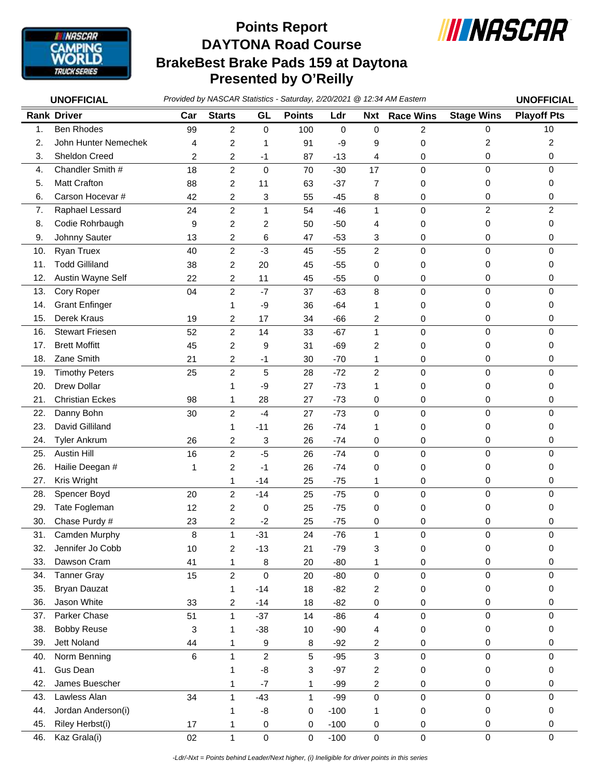

## **DAYTONA Road Course BrakeBest Brake Pads 159 at Daytona Presented by O'Reilly Points Report**



*Provided by NASCAR Statistics - Saturday, 2/20/2021 @ 12:34 AM Eastern* **UNOFFICIAL UNOFFICIAL**

|     | UNULLIUIAL             |     | Provided by TW tool in technology |                         | $\sum_{i=1}^{n}$ |             |                         |                  |                   | UNULLIVIAL         |
|-----|------------------------|-----|-----------------------------------|-------------------------|------------------|-------------|-------------------------|------------------|-------------------|--------------------|
|     | <b>Rank Driver</b>     | Car | <b>Starts</b>                     | GL                      | <b>Points</b>    | Ldr         | <b>Nxt</b>              | <b>Race Wins</b> | <b>Stage Wins</b> | <b>Playoff Pts</b> |
| 1.  | <b>Ben Rhodes</b>      | 99  | 2                                 | 0                       | 100              | $\mathbf 0$ | 0                       | $\overline{2}$   | $\Omega$          | 10                 |
| 2.  | John Hunter Nemechek   | 4   | 2                                 | 1                       | 91               | -9          | 9                       | 0                | 2                 | $\overline{c}$     |
| 3.  | Sheldon Creed          | 2   | 2                                 | -1                      | 87               | $-13$       | 4                       | 0                | 0                 | 0                  |
| 4.  | Chandler Smith #       | 18  | $\overline{c}$                    | 0                       | 70               | $-30$       | 17                      | $\mathbf 0$      | $\mathbf 0$       | 0                  |
| 5.  | <b>Matt Crafton</b>    | 88  | 2                                 | 11                      | 63               | $-37$       | 7                       | 0                | 0                 | 0                  |
| 6.  | Carson Hocevar #       | 42  | 2                                 | 3                       | 55               | $-45$       | 8                       | 0                | 0                 | 0                  |
| 7.  | Raphael Lessard        | 24  | $\overline{c}$                    | $\mathbf{1}$            | 54               | $-46$       | $\mathbf{1}$            | $\pmb{0}$        | $\overline{c}$    | $\overline{2}$     |
| 8.  | Codie Rohrbaugh        | 9   | 2                                 | 2                       | 50               | $-50$       | 4                       | 0                | 0                 | 0                  |
| 9.  | Johnny Sauter          | 13  | 2                                 | 6                       | 47               | $-53$       | 3                       | 0                | 0                 | 0                  |
| 10. | Ryan Truex             | 40  | $\overline{c}$                    | $-3$                    | 45               | $-55$       | $\overline{c}$          | $\pmb{0}$        | 0                 | $\mathbf 0$        |
| 11. | <b>Todd Gilliland</b>  | 38  | 2                                 | 20                      | 45               | $-55$       | 0                       | 0                | 0                 | 0                  |
| 12. | Austin Wayne Self      | 22  | 2                                 | 11                      | 45               | $-55$       | 0                       | 0                | 0                 | 0                  |
| 13. | Cory Roper             | 04  | $\overline{c}$                    | $-7$                    | 37               | $-63$       | 8                       | $\pmb{0}$        | $\mathbf 0$       | $\Omega$           |
| 14. | <b>Grant Enfinger</b>  |     | 1                                 | -9                      | 36               | $-64$       | 1                       | 0                | 0                 | 0                  |
| 15. | Derek Kraus            | 19  | 2                                 | 17                      | 34               | $-66$       | $\overline{\mathbf{c}}$ | 0                | 0                 | 0                  |
| 16. | <b>Stewart Friesen</b> | 52  | $\overline{\mathbf{c}}$           | 14                      | 33               | $-67$       | $\mathbf{1}$            | $\pmb{0}$        | $\mathbf 0$       | $\mathbf 0$        |
| 17. | <b>Brett Moffitt</b>   | 45  | 2                                 | 9                       | 31               | $-69$       | $\overline{c}$          | 0                | 0                 | 0                  |
| 18. | Zane Smith             | 21  | 2                                 | $-1$                    | 30               | $-70$       | 1                       | 0                | 0                 | 0                  |
| 19. | <b>Timothy Peters</b>  | 25  | $\overline{\mathbf{c}}$           | 5                       | 28               | $-72$       | $\overline{c}$          | 0                | 0                 | $\mathbf 0$        |
| 20. | <b>Drew Dollar</b>     |     | 1                                 | -9                      | 27               | $-73$       | 1                       |                  | 0                 | 0                  |
| 21. | <b>Christian Eckes</b> | 98  | 1                                 | 28                      | 27               | $-73$       | 0                       | 0<br>0           | 0                 | 0                  |
| 22. | Danny Bohn             | 30  | 2                                 | $-4$                    | 27               | $-73$       | $\mathbf 0$             | 0                | 0                 | $\mathbf 0$        |
| 23. | David Gilliland        |     |                                   |                         |                  | $-74$       |                         |                  | 0                 | 0                  |
|     |                        |     | 1                                 | $-11$                   | 26               |             | 1                       | 0                |                   |                    |
| 24. | <b>Tyler Ankrum</b>    | 26  | 2                                 | 3                       | 26               | $-74$       | 0                       | 0                | 0                 | 0<br>$\mathbf 0$   |
| 25. | <b>Austin Hill</b>     | 16  | $\overline{\mathbf{c}}$           | $-5$                    | 26               | $-74$       | 0                       | $\pmb{0}$        | 0                 |                    |
| 26. | Hailie Deegan #        | 1   | 2                                 | $-1$                    | 26               | $-74$       | 0                       | 0                | 0                 | 0                  |
| 27. | Kris Wright            |     | 1                                 | -14                     | 25               | $-75$       | 1                       | 0                | 0                 | 0                  |
| 28. | Spencer Boyd           | 20  | $\overline{c}$                    | $-14$                   | 25               | $-75$       | 0                       | $\mathbf 0$      | $\mathbf 0$       | $\Omega$           |
| 29. | Tate Fogleman          | 12  | 2                                 | 0                       | 25               | $-75$       | 0                       | 0                | 0                 | 0                  |
| 30. | Chase Purdy #          | 23  | 2                                 | $-2$                    | 25               | $-75$       | 0                       | 0                | 0                 | 0                  |
| 31. | Camden Murphy          | 8   | $\mathbf{1}$                      | $-31$                   | 24               | $-76$       | $\mathbf{1}$            | $\mathbf 0$      | $\mathbf 0$       | 0                  |
| 32. | Jennifer Jo Cobb       | 10  | 2                                 | $-13$                   | 21               | $-79$       | 3                       | $\pmb{0}$        | 0                 | 0                  |
| 33. | Dawson Cram            | 41  | 1                                 | 8                       | 20               | $-80$       | 1                       | 0                | 0                 | 0                  |
| 34. | <b>Tanner Gray</b>     | 15  | $\overline{c}$                    | $\mathsf 0$             | 20               | $-80$       | $\pmb{0}$               | $\pmb{0}$        | $\mathbf 0$       | $\mathbf 0$        |
| 35. | <b>Bryan Dauzat</b>    |     | 1                                 | $-14$                   | 18               | $-82$       | $\overline{\mathbf{c}}$ | $\pmb{0}$        | 0                 | 0                  |
| 36. | Jason White            | 33  | 2                                 | $-14$                   | 18               | $-82$       | $\pmb{0}$               | 0                | 0                 | 0                  |
| 37. | Parker Chase           | 51  | $\mathbf{1}$                      | $-37$                   | 14               | $-86$       | 4                       | $\pmb{0}$        | 0                 | $\mathbf 0$        |
| 38. | <b>Bobby Reuse</b>     | 3   | 1                                 | $-38$                   | 10               | $-90$       | 4                       | 0                | 0                 | 0                  |
| 39. | Jett Noland            | 44  | 1                                 | 9                       | 8                | $-92$       | 2                       | 0                | 0                 | 0                  |
| 40. | Norm Benning           | 6   | $\mathbf{1}$                      | $\overline{\mathbf{c}}$ | 5                | $-95$       | $\sqrt{3}$              | $\pmb{0}$        | 0                 | 0                  |
| 41. | Gus Dean               |     | 1                                 | -8                      | 3                | $-97$       | 2                       | 0                | 0                 | 0                  |
| 42. | James Buescher         |     | 1                                 | $-7$                    | $\mathbf{1}$     | -99         | 2                       | $\pmb{0}$        | 0                 | 0                  |
| 43. | Lawless Alan           | 34  | 1                                 | $-43$                   | 1                | $-99$       | $\pmb{0}$               | 0                | 0                 | $\mathbf 0$        |
| 44. | Jordan Anderson(i)     |     | 1                                 | -8                      | 0                | $-100$      | 1                       | 0                | 0                 | 0                  |
| 45. | Riley Herbst(i)        | 17  | 1                                 | 0                       | 0                | $-100$      | 0                       | 0                | 0                 | 0                  |
| 46. | Kaz Grala(i)           | 02  | $\mathbf{1}$                      | $\mathsf 0$             | 0                | $-100$      | $\mathbf 0$             | $\pmb{0}$        | $\pmb{0}$         | $\mathbf 0$        |